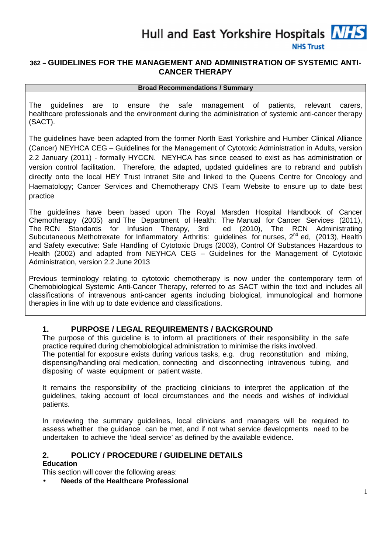

## **362 – GUIDELINES FOR THE MANAGEMENT AND ADMINISTRATION OF SYSTEMIC ANTI-CANCER THERAPY**

#### **Broad Recommendations / Summary**

The guidelines are to ensure the safe management of patients, relevant carers, healthcare professionals and the environment during the administration of systemic anti-cancer therapy (SACT).

The guidelines have been adapted from the former North East Yorkshire and Humber Clinical Alliance (Cancer) NEYHCA CEG – Guidelines for the Management of Cytotoxic Administration in Adults, version 2.2 January (2011) - formally HYCCN. NEYHCA has since ceased to exist as has administration or version control facilitation. Therefore, the adapted, updated guidelines are to rebrand and publish directly onto the local HEY Trust Intranet Site and linked to the Queens Centre for Oncology and Haematology; Cancer Services and Chemotherapy CNS Team Website to ensure up to date best practice

The guidelines have been based upon The Royal Marsden Hospital Handbook of Cancer Chemotherapy (2005) and The Department of Health: The Manual for Cancer Services (2011), The RCN Standards for Infusion Therapy, 3rd ed (2010), The RCN Administrating Subcutaneous Methotrexate for Inflammatory Arthritis: guidelines for nurses, 2<sup>nd</sup> ed, (2013), Health and Safety executive: Safe Handling of Cytotoxic Drugs (2003), Control Of Substances Hazardous to Health (2002) and adapted from NEYHCA CEG – Guidelines for the Management of Cytotoxic Administration, version 2.2 June 2013

Previous terminology relating to cytotoxic chemotherapy is now under the contemporary term of Chemobiological Systemic Anti-Cancer Therapy, referred to as SACT within the text and includes all classifications of intravenous anti-cancer agents including biological, immunological and hormone therapies in line with up to date evidence and classifications.

## **1. PURPOSE / LEGAL REQUIREMENTS / BACKGROUND**

The purpose of this guideline is to inform all practitioners of their responsibility in the safe practice required during chemobiological administration to minimise the risks involved.

The potential for exposure exists during various tasks, e.g. drug reconstitution and mixing, dispensing/handling oral medication, connecting and disconnecting intravenous tubing, and disposing of waste equipment or patient waste.

It remains the responsibility of the practicing clinicians to interpret the application of the guidelines, taking account of local circumstances and the needs and wishes of individual patients.

In reviewing the summary quidelines, local clinicians and managers will be required to assess whether the guidance can be met, and if not what service developments need to be undertaken to achieve the 'ideal service' as defined by the available evidence.

# **2. POLICY / PROCEDURE / GUIDELINE DETAILS**

## **Education**

This section will cover the following areas:

• **Needs of the Healthcare Professional**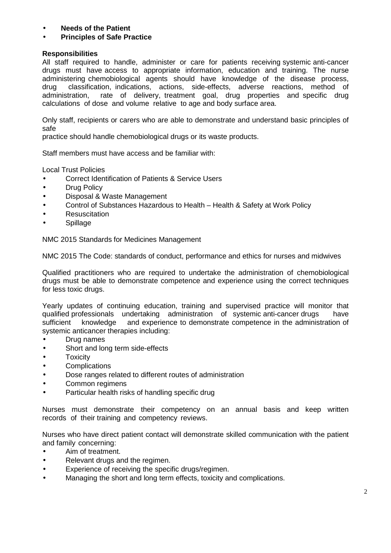- **Needs of the Patient**
- **Principles of Safe Practice**

#### **Responsibilities**

All staff required to handle, administer or care for patients receiving systemic anti-cancer drugs must have access to appropriate information, education and training. The nurse administering chemobiological agents should have knowledge of the disease process, drug classification, indications, actions, side-effects, adverse reactions, method of administration, rate of delivery, treatment goal, drug properties and specific drug calculations of dose and volume relative to age and body surface area.

Only staff, recipients or carers who are able to demonstrate and understand basic principles of safe

practice should handle chemobiological drugs or its waste products.

Staff members must have access and be familiar with:

Local Trust Policies

- Correct Identification of Patients & Service Users
- **Drug Policy**
- Disposal & Waste Management
- Control of Substances Hazardous to Health Health & Safety at Work Policy
- **Resuscitation**
- **Spillage**

NMC 2015 Standards for Medicines Management

NMC 2015 The Code: standards of conduct, performance and ethics for nurses and midwives

Qualified practitioners who are required to undertake the administration of chemobiological drugs must be able to demonstrate competence and experience using the correct techniques for less toxic drugs.

Yearly updates of continuing education, training and supervised practice will monitor that qualified professionals undertaking administration of systemic anti-cancer drugs have sufficient knowledge and experience to demonstrate competence in the administration of systemic anticancer therapies including:

- Drug names
- Short and long term side-effects
- **Toxicity**
- Complications
- Dose ranges related to different routes of administration
- Common regimens
- Particular health risks of handling specific drug

Nurses must demonstrate their competency on an annual basis and keep written records of their training and competency reviews.

Nurses who have direct patient contact will demonstrate skilled communication with the patient and family concerning:

- Aim of treatment.
- Relevant drugs and the regimen.
- Experience of receiving the specific drugs/regimen.
- Managing the short and long term effects, toxicity and complications.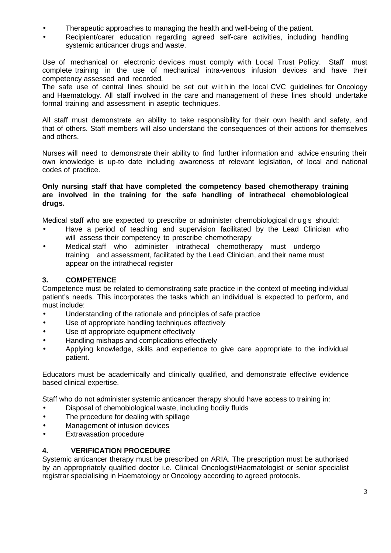- Therapeutic approaches to managing the health and well-being of the patient.
- Recipient/carer education regarding agreed self-care activities, including handling systemic anticancer drugs and waste.

Use of mechanical or electronic devices must comply with Local Trust Policy. Staff must complete training in the use of mechanical intra-venous infusion devices and have their competency assessed and recorded.

The safe use of central lines should be set out within the local CVC guidelines for Oncology and Haematology. All staff involved in the care and management of these lines should undertake formal training and assessment in aseptic techniques.

All staff must demonstrate an ability to take responsibility for their own health and safety, and that of others. Staff members will also understand the consequences of their actions for themselves and others.

Nurses will need to demonstrate their ability to find further information and advice ensuring their own knowledge is up-to date including awareness of relevant legislation, of local and national codes of practice.

#### **Only nursing staff that have completed the competency based chemotherapy training are involved in the training for the safe handling of intrathecal chemobiological drugs.**

Medical staff who are expected to prescribe or administer chemobiological d rugs should:

- Have a period of teaching and supervision facilitated by the Lead Clinician who will assess their competency to prescribe chemotherapy
- Medical staff who administer intrathecal chemotherapy must undergo training and assessment, facilitated by the Lead Clinician, and their name must appear on the intrathecal register

## **3. COMPETENCE**

Competence must be related to demonstrating safe practice in the context of meeting individual patient's needs. This incorporates the tasks which an individual is expected to perform, and must include:

- Understanding of the rationale and principles of safe practice
- Use of appropriate handling techniques effectively
- Use of appropriate equipment effectively
- Handling mishaps and complications effectively
- Applying knowledge, skills and experience to give care appropriate to the individual patient.

Educators must be academically and clinically qualified, and demonstrate effective evidence based clinical expertise.

Staff who do not administer systemic anticancer therapy should have access to training in:

- Disposal of chemobiological waste, including bodily fluids
- The procedure for dealing with spillage
- Management of infusion devices
- **Extravasation procedure**

#### **4. VERIFICATION PROCEDURE**

Systemic anticancer therapy must be prescribed on ARIA. The prescription must be authorised by an appropriately qualified doctor i.e. Clinical Oncologist/Haematologist or senior specialist registrar specialising in Haematology or Oncology according to agreed protocols.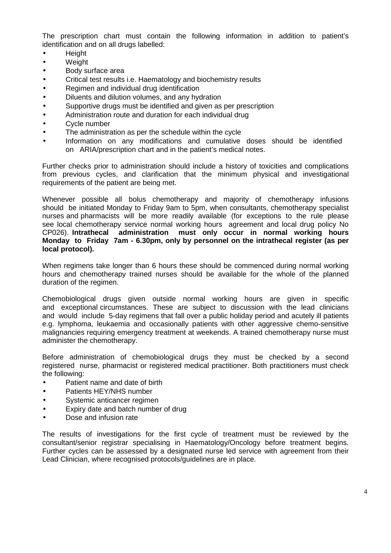The prescription chart must contain the following information in addition to patient's identification and on all drugs labelled:

- Height
- **Weight**
- Body surface area
- Critical test results i.e. Haematology and biochemistry results
- Regimen and individual drug identification
- Diluents and dilution volumes, and any hydration
- Supportive drugs must be identified and given as per prescription
- Administration route and duration for each individual drug
- Cycle number
- The administration as per the schedule within the cycle
- Information on any modifications and cumulative doses should be identified on ARIA/prescription chart and in the patient's medical notes.

Further checks prior to administration should include a history of toxicities and complications from previous cycles, and clarification that the minimum physical and investigational requirements of the patient are being met.

Whenever possible all bolus chemotherapy and majority of chemotherapy infusions should be initiated Monday to Friday 9am to 5pm, when consultants, chemotherapy specialist nurses and pharmacists will be more readily available (for exceptions to the rule please see local chemotherapy service normal working hours agreement and local drug policy No CP026). **Intrathecal administration must only occur in normal working hours Monday to Friday 7am - 6.30pm, only by personnel on the intrathecal register (as per local protocol).** 

When regimens take longer than 6 hours these should be commenced during normal working hours and chemotherapy trained nurses should be available for the whole of the planned duration of the regimen.

Chemobiological drugs given outside normal working hours are given in specific and exceptional circumstances. These are subject to discussion with the lead clinicians and would include 5-day regimens that fall over a public holiday period and acutely ill patients e.g. lymphoma, leukaemia and occasionally patients with other aggressive chemo-sensitive malignancies requiring emergency treatment at weekends. A trained chemotherapy nurse must administer the chemotherapy.

Before administration of chemobiological drugs they must be checked by a second registered nurse, pharmacist or registered medical practitioner. Both practitioners must check the following:

- Patient name and date of birth
- Patients HEY/NHS number
- Systemic anticancer regimen
- Expiry date and batch number of drug
- Dose and infusion rate

The results of investigations for the first cycle of treatment must be reviewed by the consultant/senior registrar specialising in Haematology/Oncology before treatment begins. Further cycles can be assessed by a designated nurse led service with agreement from their Lead Clinician, where recognised protocols/guidelines are in place.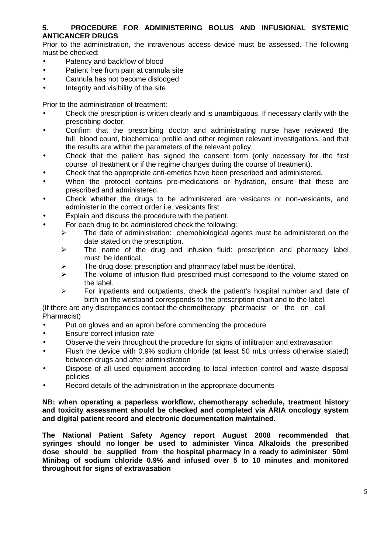## **5. PROCEDURE FOR ADMINISTERING BOLUS AND INFUSIONAL SYSTEMIC ANTICANCER DRUGS**

Prior to the administration, the intravenous access device must be assessed. The following must be checked:

- Patency and backflow of blood
- Patient free from pain at cannula site
- Cannula has not become dislodged
- Integrity and visibility of the site

Prior to the administration of treatment:

- Check the prescription is written clearly and is unambiguous. If necessary clarify with the prescribing doctor.
- Confirm that the prescribing doctor and administrating nurse have reviewed the full blood count, biochemical profile and other regimen relevant investigations, and that the results are within the parameters of the relevant policy.
- Check that the patient has signed the consent form (only necessary for the first course of treatment or if the regime changes during the course of treatment).
- Check that the appropriate anti-emetics have been prescribed and administered.
- When the protocol contains pre-medications or hydration, ensure that these are prescribed and administered.
- Check whether the drugs to be administered are vesicants or non-vesicants, and administer in the correct order i.e. vesicants first
- Explain and discuss the procedure with the patient.
- For each drug to be administered check the following:
	- $\triangleright$  The date of administration: chemobiological agents must be administered on the date stated on the prescription.
	- $\triangleright$  The name of the drug and infusion fluid: prescription and pharmacy label must be identical.
	- $\triangleright$  The drug dose: prescription and pharmacy label must be identical.
	- $\triangleright$  The volume of infusion fluid prescribed must correspond to the volume stated on the label.
	- $\triangleright$  For inpatients and outpatients, check the patient's hospital number and date of birth on the wristband corresponds to the prescription chart and to the label.

(If there are any discrepancies contact the chemotherapy pharmacist or the on call Pharmacist)

- Put on gloves and an apron before commencing the procedure
- Ensure correct infusion rate
- Observe the vein throughout the procedure for signs of infiltration and extravasation
- Flush the device with 0.9% sodium chloride (at least 50 mLs unless otherwise stated) between drugs and after administration
- Dispose of all used equipment according to local infection control and waste disposal policies
- Record details of the administration in the appropriate documents

**NB: when operating a paperless workflow, chemotherapy schedule, treatment history and toxicity assessment should be checked and completed via ARIA oncology system and digital patient record and electronic documentation maintained.** 

**The National Patient Safety Agency report August 2008 recommended that syringes should no longer be used to administer Vinca Alkaloids the prescribed dose should be supplied from the hospital pharmacy in a ready to administer 50ml Minibag of sodium chloride 0.9% and infused over 5 to 10 minutes and monitored throughout for signs of extravasation**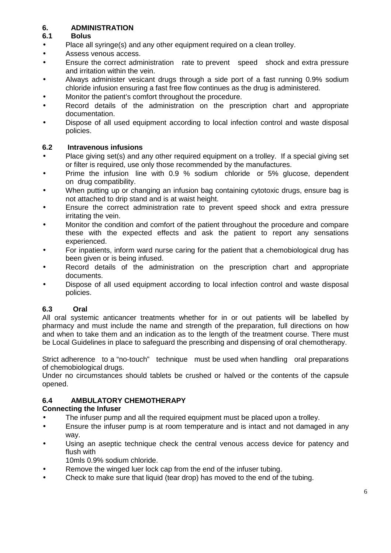## **6. ADMINISTRATION**

## **6.1 Bolus**

- Place all syringe(s) and any other equipment required on a clean trolley.
- Assess venous access.
- Ensure the correct administration rate to prevent speed shock and extra pressure and irritation within the vein.
- Always administer vesicant drugs through a side port of a fast running 0.9% sodium chloride infusion ensuring a fast free flow continues as the drug is administered.
- Monitor the patient's comfort throughout the procedure.
- Record details of the administration on the prescription chart and appropriate documentation.
- Dispose of all used equipment according to local infection control and waste disposal policies.

## **6.2 Intravenous infusions**

- Place giving set(s) and any other required equipment on a trolley. If a special giving set or filter is required, use only those recommended by the manufactures.
- Prime the infusion line with 0.9 % sodium chloride or 5% glucose, dependent on drug compatibility.
- When putting up or changing an infusion bag containing cytotoxic drugs, ensure bag is not attached to drip stand and is at waist height.
- Ensure the correct administration rate to prevent speed shock and extra pressure irritating the vein.
- Monitor the condition and comfort of the patient throughout the procedure and compare these with the expected effects and ask the patient to report any sensations experienced.
- For inpatients, inform ward nurse caring for the patient that a chemobiological drug has been given or is being infused.
- Record details of the administration on the prescription chart and appropriate documents.
- Dispose of all used equipment according to local infection control and waste disposal policies.

## **6.3 Oral**

All oral systemic anticancer treatments whether for in or out patients will be labelled by pharmacy and must include the name and strength of the preparation, full directions on how and when to take them and an indication as to the length of the treatment course. There must be Local Guidelines in place to safeguard the prescribing and dispensing of oral chemotherapy.

Strict adherence to a "no-touch" technique must be used when handling oral preparations of chemobiological drugs.

Under no circumstances should tablets be crushed or halved or the contents of the capsule opened.

## **6.4 AMBULATORY CHEMOTHERAPY**

## **Connecting the Infuser**

- The infuser pump and all the required equipment must be placed upon a trolley.
- Ensure the infuser pump is at room temperature and is intact and not damaged in any way.
- Using an aseptic technique check the central venous access device for patency and flush with
	- 10mls 0.9% sodium chloride.
- Remove the winged luer lock cap from the end of the infuser tubing.
- Check to make sure that liquid (tear drop) has moved to the end of the tubing.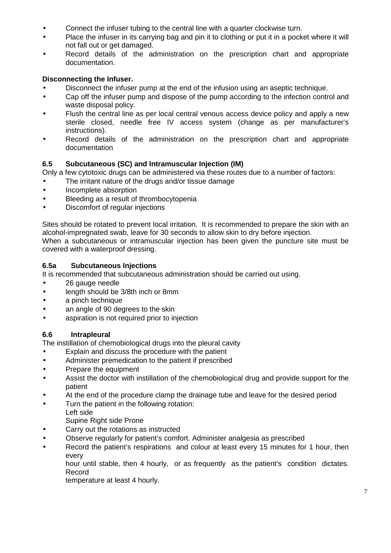- Connect the infuser tubing to the central line with a quarter clockwise turn.
- Place the infuser in its carrying bag and pin it to clothing or put it in a pocket where it will not fall out or get damaged.
- Record details of the administration on the prescription chart and appropriate documentation.

## **Disconnecting the Infuser.**

- Disconnect the infuser pump at the end of the infusion using an aseptic technique.
- Cap off the infuser pump and dispose of the pump according to the infection control and waste disposal policy.
- Flush the central line as per local central venous access device policy and apply a new sterile closed, needle free IV access system (change as per manufacturer's instructions).
- Record details of the administration on the prescription chart and appropriate documentation

#### **6.5 Subcutaneous (SC) and Intramuscular Injection (IM)**

Only a few cytotoxic drugs can be administered via these routes due to a number of factors:

- The irritant nature of the drugs and/or tissue damage
- Incomplete absorption
- Bleeding as a result of thrombocytopenia
- Discomfort of regular injections

Sites should be rotated to prevent local irritation. It is recommended to prepare the skin with an alcohol-impregnated swab, leave for 30 seconds to allow skin to dry before injection.

When a subcutaneous or intramuscular injection has been given the puncture site must be covered with a waterproof dressing.

#### **6.5a Subcutaneous Injections**

It is recommended that subcutaneous administration should be carried out using.

- 26 gauge needle
- length should be 3/8th inch or 8mm
- a pinch technique
- an angle of 90 degrees to the skin
- aspiration is not required prior to injection

#### **6.6 Intrapleural**

The instillation of chemobiological drugs into the pleural cavity

- Explain and discuss the procedure with the patient
- Administer premedication to the patient if prescribed
- Prepare the equipment
- Assist the doctor with instillation of the chemobiological drug and provide support for the patient
- At the end of the procedure clamp the drainage tube and leave for the desired period
- Turn the patient in the following rotation:
- Left side Supine Right side Prone
- Carry out the rotations as instructed
- Observe regularly for patient's comfort. Administer analgesia as prescribed
- Record the patient's respirations and colour at least every 15 minutes for 1 hour, then every

hour until stable, then 4 hourly, or as frequently as the patient's condition dictates. Record

temperature at least 4 hourly.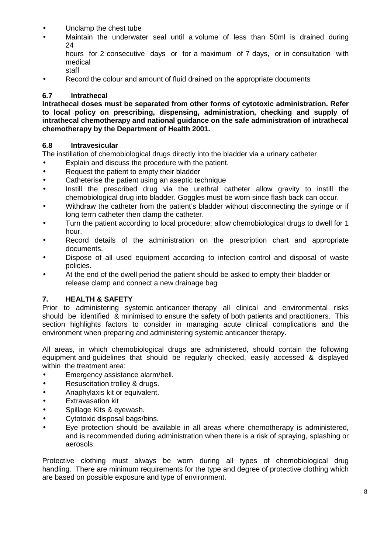- Unclamp the chest tube
- Maintain the underwater seal until a volume of less than 50ml is drained during 24
	- hours for 2 consecutive days or for a maximum of 7 days, or in consultation with medical staff
- Record the colour and amount of fluid drained on the appropriate documents

### **6.7 Intrathecal**

**Intrathecal doses must be separated from other forms of cytotoxic administration. Refer to local policy on prescribing, dispensing, administration, checking and supply of intrathecal chemotherapy and national guidance on the safe administration of intrathecal chemotherapy by the Department of Health 2001.** 

#### **6.8 Intravesicular**

The instillation of chemobiological drugs directly into the bladder via a urinary catheter

- Explain and discuss the procedure with the patient.
- Request the patient to empty their bladder
- Catheterise the patient using an aseptic technique
- Instill the prescribed drug via the urethral catheter allow gravity to instill the chemobiological drug into bladder. Goggles must be worn since flash back can occur.
- Withdraw the catheter from the patient's bladder without disconnecting the syringe or if long terrn catheter then clamp the catheter.
- Turn the patient according to local procedure; allow chemobiological drugs to dwell for 1 hour.
- Record details of the administration on the prescription chart and appropriate documents.
- Dispose of all used equipment according to infection control and disposal of waste policies.
- At the end of the dwell period the patient should be asked to empty their bladder or release clamp and connect a new drainage bag

### **7. HEALTH & SAFETY**

Prior to administering systemic anticancer therapy all clinical and environmental risks should be identified & minimised to ensure the safety of both patients and practitioners. This section highlights factors to consider in managing acute clinical complications and the environment when preparing and administering systemic anticancer therapy.

All areas, in which chemobiological drugs are administered, should contain the following equipment and guidelines that should be regularly checked, easily accessed & displayed within the treatment area:

- Emergency assistance alarm/bell.
- Resuscitation trolley & drugs.
- Anaphylaxis kit or equivalent.
- **Extravasation kit**
- Spillage Kits & eyewash.
- Cytotoxic disposal bags/bins.
- Eye protection should be available in all areas where chemotherapy is administered, and is recommended during administration when there is a risk of spraying, splashing or aerosols.

Protective clothing must always be worn during all types of chemobiological drug handling. There are minimum requirements for the type and degree of protective clothing which are based on possible exposure and type of environment.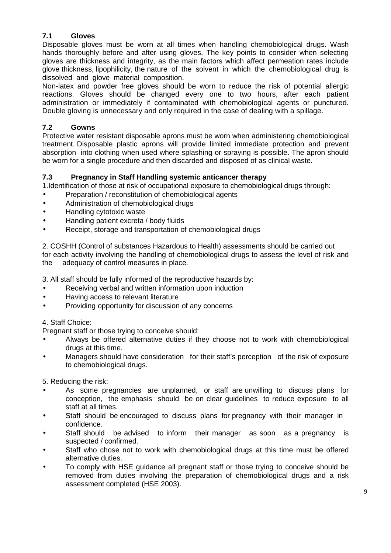## **7.1 Gloves**

Disposable gloves must be worn at all times when handling chemobiological drugs. Wash hands thoroughly before and after using gloves. The key points to consider when selecting gloves are thickness and integrity, as the main factors which affect permeation rates include glove thickness, lipophilicity, the nature of the solvent in which the chemobiological drug is dissolved and glove material composition.

Non-latex and powder free gloves should be worn to reduce the risk of potential allergic reactions. Gloves should be changed every one to two hours, after each patient administration or immediately if contaminated with chemobiological agents or punctured. Double gloving is unnecessary and only required in the case of dealing with a spillage.

## **7.2 Gowns**

Protective water resistant disposable aprons must be worn when administering chemobiological treatment. Disposable plastic aprons will provide limited immediate protection and prevent absorption into clothing when used where splashing or spraying is possible. The apron should be worn for a single procedure and then discarded and disposed of as clinical waste.

## **7.3 Pregnancy in Staff Handling systemic anticancer therapy**

1.Identification of those at risk of occupational exposure to chemobiological drugs through:

- Preparation / reconstitution of chemobiological agents
- Administration of chemobiological drugs
- Handling cytotoxic waste
- Handling patient excreta / body fluids
- Receipt, storage and transportation of chemobiological drugs

2. COSHH (Control of substances Hazardous to Health) assessments should be carried out for each activity involving the handling of chemobiological drugs to assess the level of risk and the adequacy of control measures in place.

3. All staff should be fully informed of the reproductive hazards by:

- Receiving verbal and written information upon induction
- Having access to relevant literature
- Providing opportunity for discussion of any concerns

## 4. Staff Choice:

Pregnant staff or those trying to conceive should:

- Always be offered alternative duties if they choose not to work with chemobiological drugs at this time.
- Managers should have consideration for their staff's perception of the risk of exposure to chemobiological drugs.

5. Reducing the risk:

- As some pregnancies are unplanned, or staff are unwilling to discuss plans for conception, the emphasis should be on clear guidelines to reduce exposure to all staff at all times.
- Staff should be encouraged to discuss plans for pregnancy with their manager in confidence.
- Staff should be advised to inform their manager as soon as a pregnancy is suspected / confirmed.
- Staff who chose not to work with chemobiological drugs at this time must be offered alternative duties.
- To comply with HSE guidance all pregnant staff or those trying to conceive should be removed from duties involving the preparation of chemobiological drugs and a risk assessment completed (HSE 2003).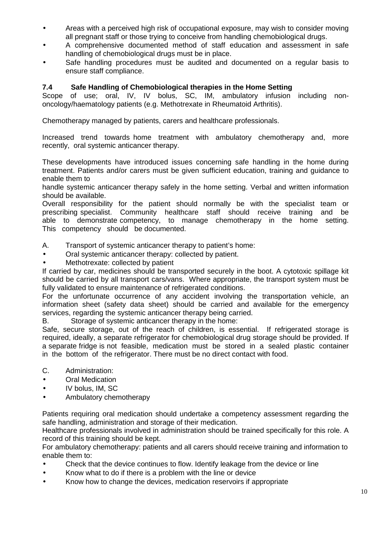- Areas with a perceived high risk of occupational exposure, may wish to consider moving all pregnant staff or those trying to conceive from handling chemobiological drugs.
- A comprehensive documented method of staff education and assessment in safe handling of chemobiological drugs must be in place.
- Safe handling procedures must be audited and documented on a regular basis to ensure staff compliance.

#### **7.4 Safe Handling of Chemobiological therapies in the Home Setting**

Scope of use; oral, IV, IV bolus, SC, IM, ambulatory infusion including nononcology/haematology patients (e.g. Methotrexate in Rheumatoid Arthritis).

Chemotherapy managed by patients, carers and healthcare professionals.

Increased trend towards home treatment with ambulatory chemotherapy and, more recently, oral systemic anticancer therapy.

These developments have introduced issues concerning safe handling in the home during treatment. Patients and/or carers must be given sufficient education, training and guidance to enable them to

handle systemic anticancer therapy safely in the home setting. Verbal and written information should be available.

Overall responsibility for the patient should normally be with the specialist team or prescribing specialist. Community healthcare staff should receive training and be able to demonstrate competency, to manage chemotherapy in the home setting. This competency should be documented.

- A. Transport of systemic anticancer therapy to patient's home:
- Oral systemic anticancer therapy: collected by patient.
- Methotrexate: collected by patient

If carried by car, medicines should be transported securely in the boot. A cytotoxic spillage kit should be carried by all transport cars/vans. Where appropriate, the transport system must be fully validated to ensure maintenance of refrigerated conditions.

For the unfortunate occurrence of any accident involving the transportation vehicle, an information sheet (safety data sheet) should be carried and available for the emergency services, regarding the systemic anticancer therapy being carried.

B. Storage of systemic anticancer therapy in the home:

Safe, secure storage, out of the reach of children, is essential. If refrigerated storage is required, ideally, a separate refrigerator for chemobiological drug storage should be provided. If a separate fridge is not feasible, medication must be stored in a sealed plastic container in the bottom of the refrigerator. There must be no direct contact with food.

C. Administration:

- Oral Medication
- IV bolus, IM, SC
- Ambulatory chemotherapy

Patients requiring oral medication should undertake a competency assessment regarding the safe handling, administration and storage of their medication.

Healthcare professionals involved in administration should be trained specifically for this role. A record of this training should be kept.

For ambulatory chemotherapy: patients and all carers should receive training and information to enable them to:

- Check that the device continues to flow. Identify leakage from the device or line
- Know what to do if there is a problem with the line or device
- Know how to change the devices, medication reservoirs if appropriate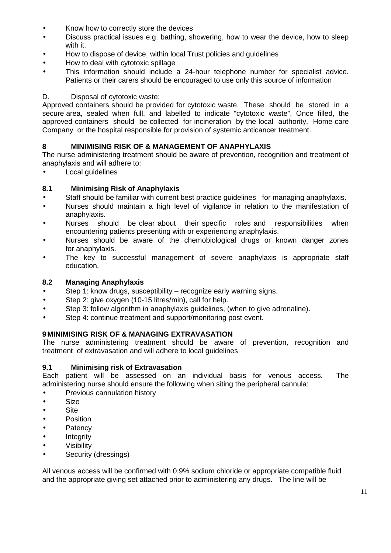- Know how to correctly store the devices
- Discuss practical issues e.g. bathing, showering, how to wear the device, how to sleep with it.
- How to dispose of device, within local Trust policies and guidelines
- How to deal with cytotoxic spillage
- This information should include a 24-hour telephone number for specialist advice. Patients or their carers should be encouraged to use only this source of information

#### D. Disposal of cytotoxic waste:

Approved containers should be provided for cytotoxic waste. These should be stored in a secure area, sealed when full, and labelled to indicate "cytotoxic waste". Once filled, the approved containers should be collected for incineration by the local authority, Home-care Company or the hospital responsible for provision of systemic anticancer treatment.

#### **8 MINIMISING RISK OF & MANAGEMENT OF ANAPHYLAXIS**

The nurse administering treatment should be aware of prevention, recognition and treatment of anaphylaxis and will adhere to:

**Local quidelines** 

#### **8.1 Minimising Risk of Anaphylaxis**

- Staff should be familiar with current best practice guidelines for managing anaphylaxis.
- Nurses should maintain a high level of vigilance in relation to the manifestation of anaphylaxis.
- Nurses should be clear about their specific roles and responsibilities when encountering patients presenting with or experiencing anaphylaxis.
- Nurses should be aware of the chemobiological drugs or known danger zones for anaphylaxis.
- The key to successful management of severe anaphylaxis is appropriate staff education.

#### **8.2 Managing Anaphylaxis**

- Step 1: know drugs, susceptibility recognize early warning signs.
- Step 2: give oxygen (10-15 litres/min), call for help.
- Step 3: follow algorithm in anaphylaxis guidelines, (when to give adrenaline).
- Step 4: continue treatment and support/monitoring post event.

#### **9 MINIMISING RISK OF & MANAGING EXTRAVASATION**

The nurse administering treatment should be aware of prevention, recognition and treatment of extravasation and will adhere to local guidelines

#### **9.1 Minimising risk of Extravasation**

Each patient will be assessed on an individual basis for venous access. The administering nurse should ensure the following when siting the peripheral cannula:

- Previous cannulation history
- Size
- Site
- Position
- Patency
- Integrity
- **Visibility**
- Security (dressings)

All venous access will be confirmed with 0.9% sodium chloride or appropriate compatible fluid and the appropriate giving set attached prior to administering any drugs. The line will be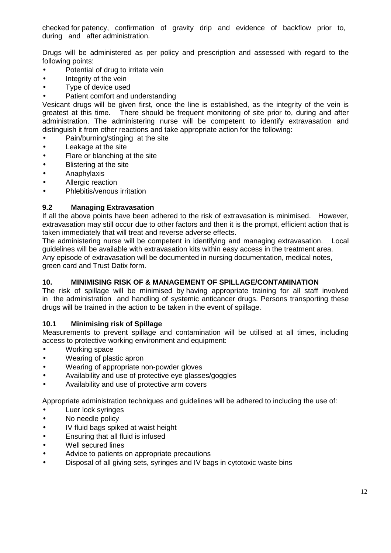checked for patency, confirmation of gravity drip and evidence of backflow prior to, during and after administration.

Drugs will be administered as per policy and prescription and assessed with regard to the following points:

- Potential of drug to irritate vein
- Integrity of the vein
- Type of device used
- Patient comfort and understanding

Vesicant drugs will be given first, once the line is established, as the integrity of the vein is greatest at this time. There should be frequent monitoring of site prior to, during and after administration. The administering nurse will be competent to identify extravasation and distinguish it from other reactions and take appropriate action for the following:

- Pain/burning/stinging at the site
- Leakage at the site
- Flare or blanching at the site
- **Blistering at the site**
- Anaphylaxis
- Allergic reaction
- Phlebitis/venous irritation

## **9.2 Managing Extravasation**

If all the above points have been adhered to the risk of extravasation is minimised. However, extravasation may still occur due to other factors and then it is the prompt, efficient action that is taken immediately that will treat and reverse adverse effects.

The administering nurse will be competent in identifying and managing extravasation. Local guidelines will be available with extravasation kits within easy access in the treatment area.

Any episode of extravasation will be documented in nursing documentation, medical notes, green card and Trust Datix form.

## **10. MINIMISING RISK OF & MANAGEMENT OF SPILLAGE/CONTAMINATION**

The risk of spillage will be minimised by having appropriate training for all staff involved in the administration and handling of systemic anticancer drugs. Persons transporting these drugs will be trained in the action to be taken in the event of spillage.

## **10.1 Minimising risk of Spillage**

Measurements to prevent spillage and contamination will be utilised at all times, including access to protective working environment and equipment:

- Working space
- Wearing of plastic apron
- Wearing of appropriate non-powder gloves
- Availability and use of protective eye glasses/goggles
- Availability and use of protective arm covers

Appropriate administration techniques and guidelines will be adhered to including the use of:

- Luer lock syringes
- No needle policy
- IV fluid bags spiked at waist height
- Ensuring that all fluid is infused
- Well secured lines
- Advice to patients on appropriate precautions
- Disposal of all giving sets, syringes and IV bags in cytotoxic waste bins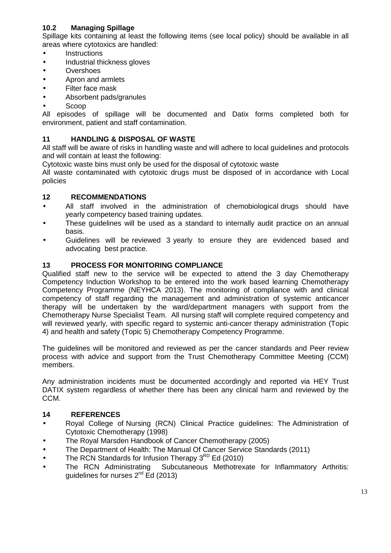## **10.2 Managing Spillage**

Spillage kits containing at least the following items (see local policy) should be available in all areas where cytotoxics are handled:

- **Instructions**
- Industrial thickness gloves
- Overshoes
- Apron and armlets
- Filter face mask
- Absorbent pads/granules
- Scoop

All episodes of spillage will be documented and Datix forms completed both for environment, patient and staff contamination.

### **11 HANDLING & DISPOSAL OF WASTE**

All staff will be aware of risks in handling waste and will adhere to local guidelines and protocols and will contain at least the following:

Cytotoxic waste bins must only be used for the disposal of cytotoxic waste

All waste contaminated with cytotoxic drugs must be disposed of in accordance with Local policies

#### **12 RECOMMENDATIONS**

- All staff involved in the administration of chemobiological drugs should have yearly competency based training updates.
- These guidelines will be used as a standard to internally audit practice on an annual basis.
- Guidelines will be reviewed 3 yearly to ensure they are evidenced based and advocating best practice.

#### **13 PROCESS FOR MONITORING COMPLIANCE**

Qualified staff new to the service will be expected to attend the 3 day Chemotherapy Competency Induction Workshop to be entered into the work based learning Chemotherapy Competency Programme (NEYHCA 2013). The monitoring of compliance with and clinical competency of staff regarding the management and administration of systemic anticancer therapy will be undertaken by the ward/department managers with support from the Chemotherapy Nurse Specialist Team. All nursing staff will complete required competency and will reviewed yearly, with specific regard to systemic anti-cancer therapy administration (Topic 4) and health and safety (Topic 5) Chemotherapy Competency Programme.

The guidelines will be monitored and reviewed as per the cancer standards and Peer review process with advice and support from the Trust Chemotherapy Committee Meeting (CCM) members.

Any administration incidents must be documented accordingly and reported via HEY Trust DATIX system regardless of whether there has been any clinical harm and reviewed by the CCM.

#### **14 REFERENCES**

- Royal College of Nursing (RCN) Clinical Practice guidelines: The Administration of Cytotoxic Chemotherapy (1998)
- The Royal Marsden Handbook of Cancer Chemotherapy (2005)
- The Department of Health: The Manual Of Cancer Service Standards (2011)
- The RCN Standards for Infusion Therapy  $3<sup>RD</sup>$  Ed (2010)<br>• The RCN Administrating Subcutaneous Methotrex
- Subcutaneous Methotrexate for Inflammatory Arthritis: quidelines for nurses  $2^{nd}$  Ed (2013)